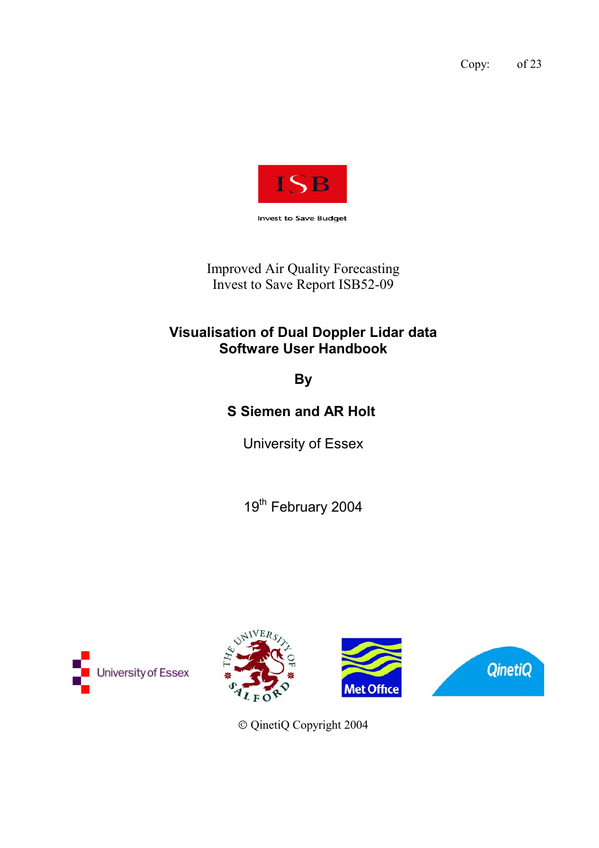Copy: of 23



Improved Air Quality Forecasting Invest to Save Report ISB52-09

### **Visualisation of Dual Doppler Lidar data Software User Handbook**

**By**

**S Siemen and AR Holt** 

University of Essex

19<sup>th</sup> February 2004









QinetiQ Copyright 2004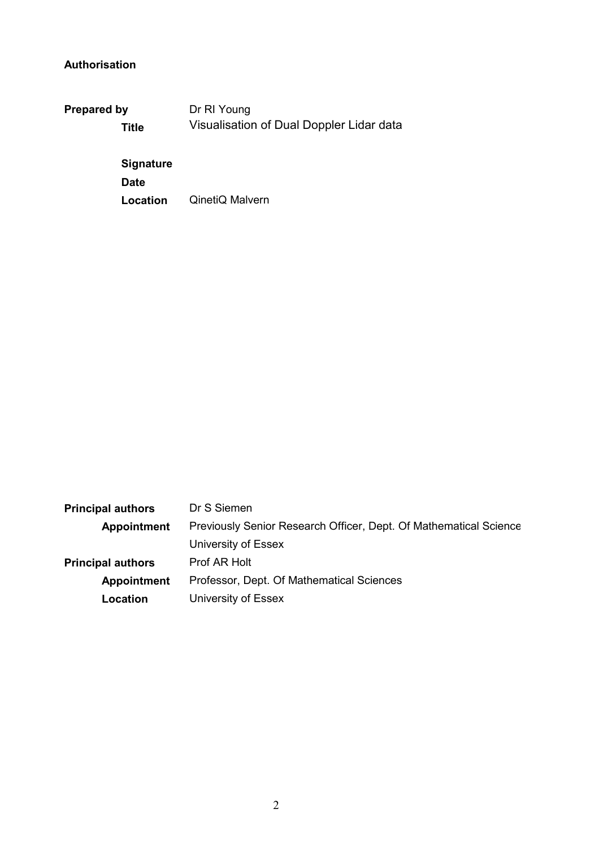### **Authorisation**

| <b>Prepared by</b> | Dr RI Young                              |  |  |  |
|--------------------|------------------------------------------|--|--|--|
| Title              | Visualisation of Dual Doppler Lidar data |  |  |  |
| <b>Signature</b>   |                                          |  |  |  |
| <b>Date</b>        |                                          |  |  |  |

**Location** QinetiQ Malvern

| <b>Principal authors</b> | Dr S Siemen                                                       |  |
|--------------------------|-------------------------------------------------------------------|--|
| <b>Appointment</b>       | Previously Senior Research Officer, Dept. Of Mathematical Science |  |
|                          | University of Essex                                               |  |
| <b>Principal authors</b> | Prof AR Holt                                                      |  |
| <b>Appointment</b>       | Professor, Dept. Of Mathematical Sciences                         |  |
| Location                 | University of Essex                                               |  |
|                          |                                                                   |  |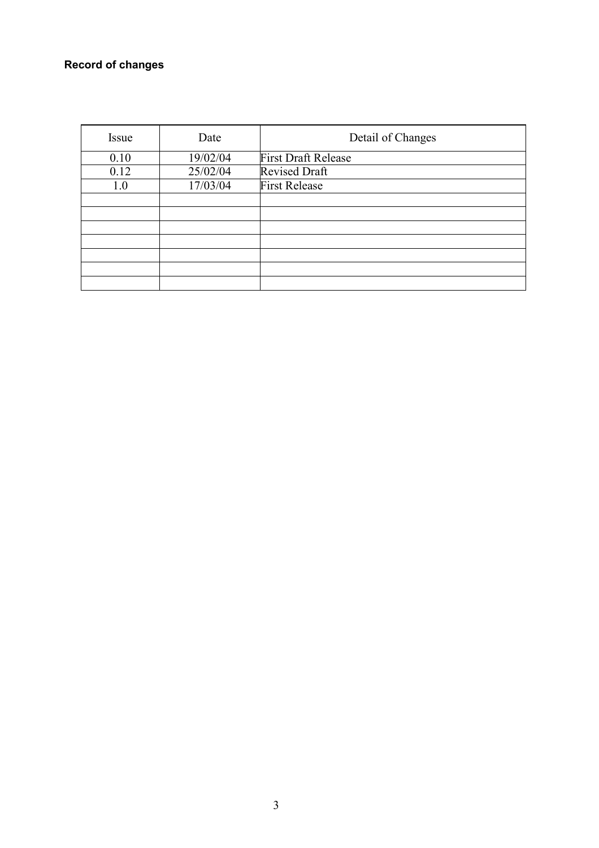### **Record of changes**

| Issue | Date     | Detail of Changes          |
|-------|----------|----------------------------|
| 0.10  | 19/02/04 | <b>First Draft Release</b> |
| 0.12  | 25/02/04 | <b>Revised Draft</b>       |
| 1.0   | 17/03/04 | <b>First Release</b>       |
|       |          |                            |
|       |          |                            |
|       |          |                            |
|       |          |                            |
|       |          |                            |
|       |          |                            |
|       |          |                            |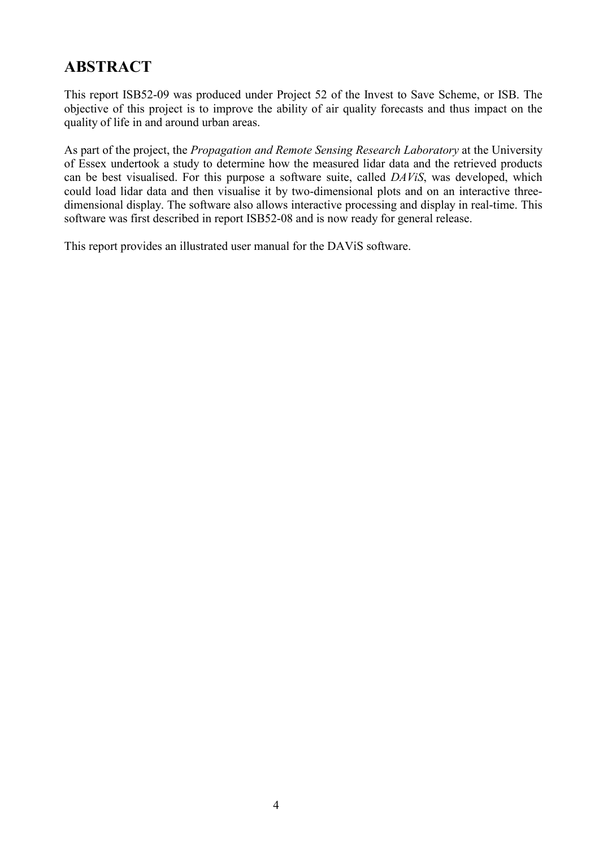## **ABSTRACT**

This report ISB52-09 was produced under Project 52 of the Invest to Save Scheme, or ISB. The objective of this project is to improve the ability of air quality forecasts and thus impact on the quality of life in and around urban areas.

As part of the project, the *Propagation and Remote Sensing Research Laboratory* at the University of Essex undertook a study to determine how the measured lidar data and the retrieved products can be best visualised. For this purpose a software suite, called *DAViS*, was developed, which could load lidar data and then visualise it by two-dimensional plots and on an interactive threedimensional display. The software also allows interactive processing and display in real-time. This software was first described in report ISB52-08 and is now ready for general release.

This report provides an illustrated user manual for the DAViS software.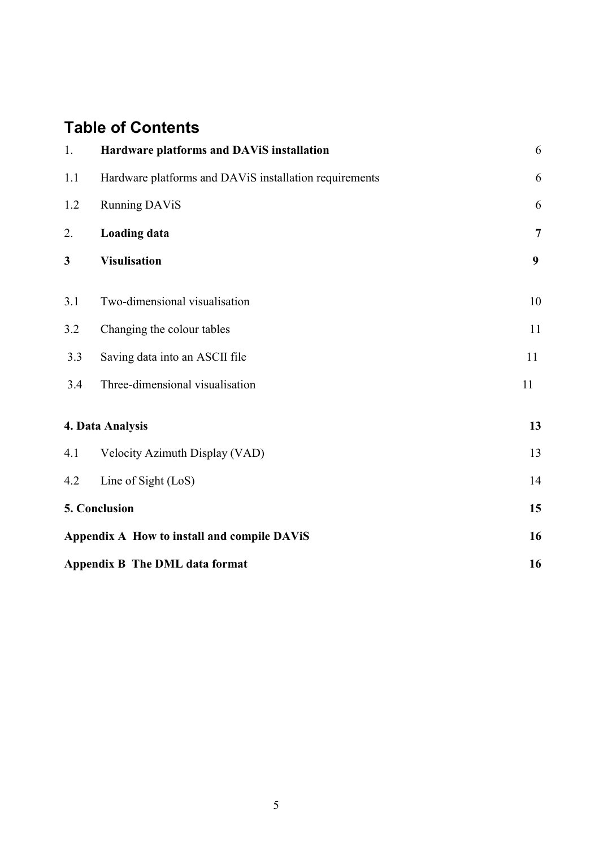## **Table of Contents**

| 1.  | Hardware platforms and DAViS installation              | 6              |
|-----|--------------------------------------------------------|----------------|
| 1.1 | Hardware platforms and DAViS installation requirements | 6              |
| 1.2 | <b>Running DAViS</b>                                   | 6              |
| 2.  | <b>Loading data</b>                                    | $\overline{7}$ |
| 3   | <b>Visulisation</b>                                    | 9              |
| 3.1 | Two-dimensional visualisation                          | 10             |
| 3.2 | Changing the colour tables                             | 11             |
| 3.3 | Saving data into an ASCII file                         | 11             |
| 3.4 | Three-dimensional visualisation                        | 11             |
|     | 4. Data Analysis                                       | 13             |
| 4.1 | Velocity Azimuth Display (VAD)                         | 13             |
| 4.2 | Line of Sight (LoS)                                    | 14             |
|     | 5. Conclusion                                          | 15             |
|     | Appendix A How to install and compile DAViS            | 16             |
|     | <b>Appendix B The DML data format</b>                  | 16             |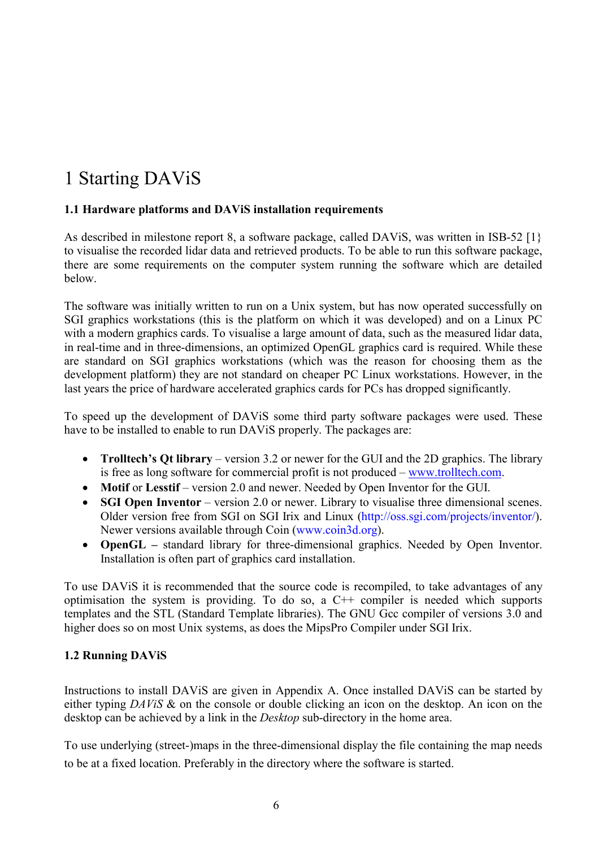# 1 Starting DAViS

#### **1.1 Hardware platforms and DAViS installation requirements**

As described in milestone report 8, a software package, called DAViS, was written in ISB-52 [1} to visualise the recorded lidar data and retrieved products. To be able to run this software package, there are some requirements on the computer system running the software which are detailed below.

The software was initially written to run on a Unix system, but has now operated successfully on SGI graphics workstations (this is the platform on which it was developed) and on a Linux PC with a modern graphics cards. To visualise a large amount of data, such as the measured lidar data, in real-time and in three-dimensions, an optimized OpenGL graphics card is required. While these are standard on SGI graphics workstations (which was the reason for choosing them as the development platform) they are not standard on cheaper PC Linux workstations. However, in the last years the price of hardware accelerated graphics cards for PCs has dropped significantly.

To speed up the development of DAViS some third party software packages were used. These have to be installed to enable to run DAViS properly. The packages are:

- **Trolltech's Qt library** version 3.2 or newer for the GUI and the 2D graphics. The library is free as long software for commercial profit is not produced – www.trolltech.com.
- **Motif or Lesstif** version 2.0 and newer. Needed by Open Inventor for the GUI.
- **SGI Open Inventor** version 2.0 or newer. Library to visualise three dimensional scenes. Older version free from SGI on SGI Irix and Linux (http://oss.sgi.com/projects/inventor/). Newer versions available through Coin (www.coin3d.org).
- **OpenGL** standard library for three-dimensional graphics. Needed by Open Inventor. Installation is often part of graphics card installation.

To use DAViS it is recommended that the source code is recompiled, to take advantages of any optimisation the system is providing. To do so, a C++ compiler is needed which supports templates and the STL (Standard Template libraries). The GNU Gcc compiler of versions 3.0 and higher does so on most Unix systems, as does the MipsPro Compiler under SGI Irix.

#### **1.2 Running DAViS**

Instructions to install DAViS are given in Appendix A. Once installed DAViS can be started by either typing *DAViS* & on the console or double clicking an icon on the desktop. An icon on the desktop can be achieved by a link in the *Desktop* sub-directory in the home area.

To use underlying (street-)maps in the three-dimensional display the file containing the map needs to be at a fixed location. Preferably in the directory where the software is started.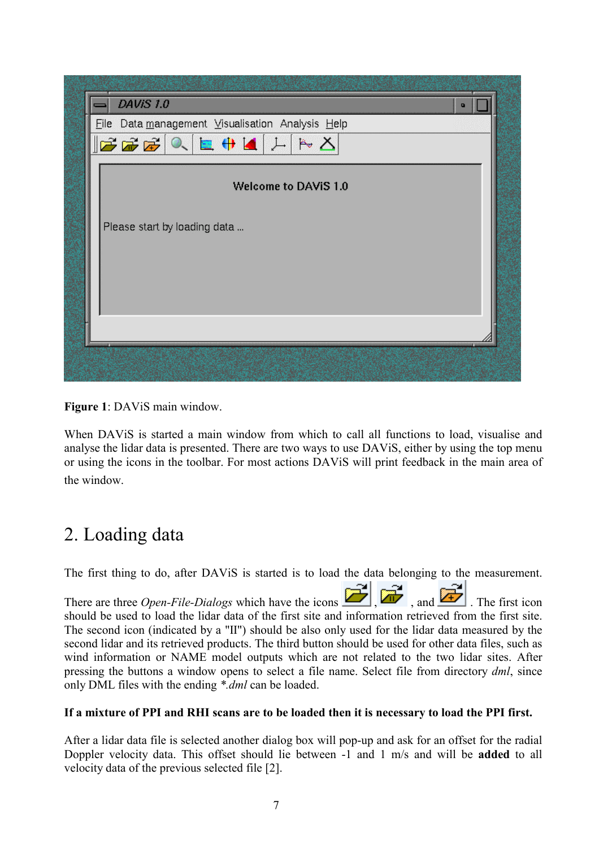

**Figure 1**: DAViS main window.

When DAViS is started a main window from which to call all functions to load, visualise and analyse the lidar data is presented. There are two ways to use DAViS, either by using the top menu or using the icons in the toolbar. For most actions DAViS will print feedback in the main area of the window.

# 2. Loading data

The first thing to do, after DAViS is started is to load the data belonging to the measurement.

There are three *Open-File-Dialogs* which have the icons  $\boxed{1}$ ,  $\boxed{1}$ , and  $\boxed{2}$ . The first icon should be used to load the lidar data of the first site and information retrieved from the first site. The second icon (indicated by a "II") should be also only used for the lidar data measured by the second lidar and its retrieved products. The third button should be used for other data files, such as wind information or NAME model outputs which are not related to the two lidar sites. After pressing the buttons a window opens to select a file name. Select file from directory *dml*, since only DML files with the ending *\*.dml* can be loaded.

### **If a mixture of PPI and RHI scans are to be loaded then it is necessary to load the PPI first.**

After a lidar data file is selected another dialog box will pop-up and ask for an offset for the radial Doppler velocity data. This offset should lie between -1 and 1 m/s and will be **added** to all velocity data of the previous selected file [2].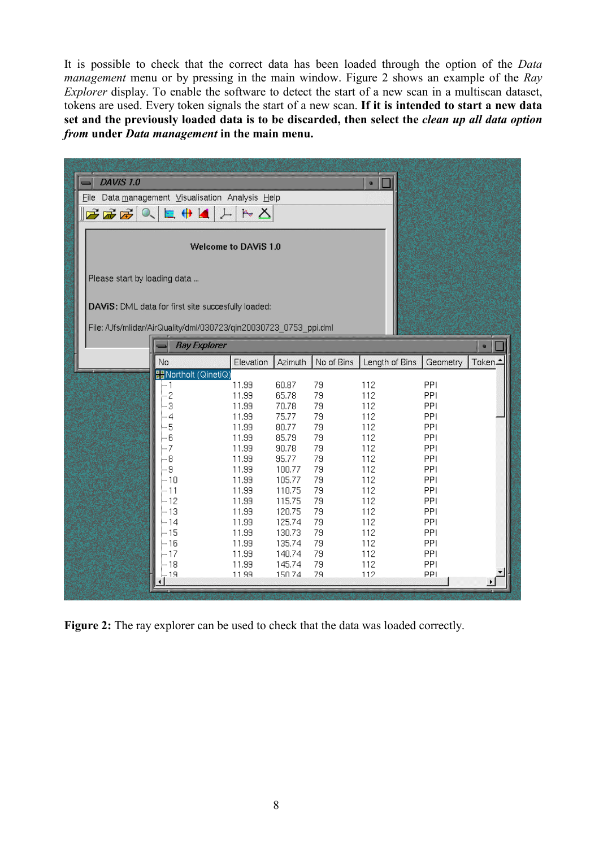It is possible to check that the correct data has been loaded through the option of the *Data management* menu or by pressing in the main window. Figure 2 shows an example of the *Ray Explorer* display. To enable the software to detect the start of a new scan in a multiscan dataset, tokens are used. Every token signals the start of a new scan. **If it is intended to start a new data set and the previously loaded data is to be discarded, then select the** *clean up all data option from* **under** *Data management* **in the main menu.** 

| DAVIS 1.0<br>$\mathbb{F}$ $\mathbb{F}$ $\mathbb{F}$<br>$Q_{\sim}$                                          | Eile Data management Visualisation Analysis Help<br>$\mathbf{E} + \mathbf{A}$<br>$\mathbf{1}$                                                                                                                        | $A \neq \infty$                                                                                                                                                                      |                                                                                                                                                                                               |                                                                                                                              | $\blacksquare$                                                                                                                                      |                                                                                                                                               |                                      |
|------------------------------------------------------------------------------------------------------------|----------------------------------------------------------------------------------------------------------------------------------------------------------------------------------------------------------------------|--------------------------------------------------------------------------------------------------------------------------------------------------------------------------------------|-----------------------------------------------------------------------------------------------------------------------------------------------------------------------------------------------|------------------------------------------------------------------------------------------------------------------------------|-----------------------------------------------------------------------------------------------------------------------------------------------------|-----------------------------------------------------------------------------------------------------------------------------------------------|--------------------------------------|
| Welcome to DAVIS 1.0<br>Please start by loading data<br>DAVIS: DML data for first site succesfully loaded: |                                                                                                                                                                                                                      |                                                                                                                                                                                      |                                                                                                                                                                                               |                                                                                                                              |                                                                                                                                                     |                                                                                                                                               |                                      |
|                                                                                                            | File: /Ufs/mlidar/AirQuality/dml/030723/qin20030723_0753_ppi.dml<br><b>Ray Explorer</b>                                                                                                                              |                                                                                                                                                                                      |                                                                                                                                                                                               |                                                                                                                              |                                                                                                                                                     |                                                                                                                                               |                                      |
|                                                                                                            | No<br><b>Bandard (QinetiQ)</b><br> … 1<br>$\overline{\mathcal{L}}$<br>3<br>- 4<br> - 5<br>ļ−6<br>$\leftarrow$ 7<br>ļ g<br> …g<br>i– 10<br>ļ⊹ 11<br> − 12<br>ļ⊹ 13<br>ļ⊹ 14<br>i– 15<br>ļ– 16<br>$-17$<br>- 18<br>-19 | Elevation<br>11.99<br>11.99<br>11.99<br>11.99<br>11.99<br>11.99<br>11.99<br>11.99<br>11.99<br>11.99<br>11.99<br>11.99<br>11.99<br>11.99<br>11.99<br>11.99<br>11.99<br>11.99<br>11.99 | Azimuth<br>60.87<br>65.78<br>70.78<br>75.77<br>80.77<br>85.79<br>90.78<br>95.77<br>100.77<br>105.77<br>110.75<br>115.75<br>120.75<br>125.74<br>130.73<br>135.74<br>140.74<br>145.74<br>150.74 | No of Bins<br>79<br>79<br>79<br>79<br>79<br>79<br>79<br>79<br>79<br>79<br>79<br>79<br>79<br>79<br>79<br>79<br>79<br>79<br>79 | Length of Bins<br>112<br>112<br>112<br>112<br>112<br>112<br>112<br>112<br>112<br>112<br>112<br>112<br>112<br>112<br>112<br>112<br>112<br>112<br>112 | Geometry<br>PPI<br>PPI<br>PPI<br>PPI<br>PPI<br>PPI<br>PPI<br>PPI<br>PPI<br>PPI<br>PPI<br>PPI<br>PPI<br>PPI<br>PPI<br>PPI<br>PPI<br>PPI<br>PPI | $\blacksquare$<br>Token <sub>-</sub> |

**Figure 2:** The ray explorer can be used to check that the data was loaded correctly.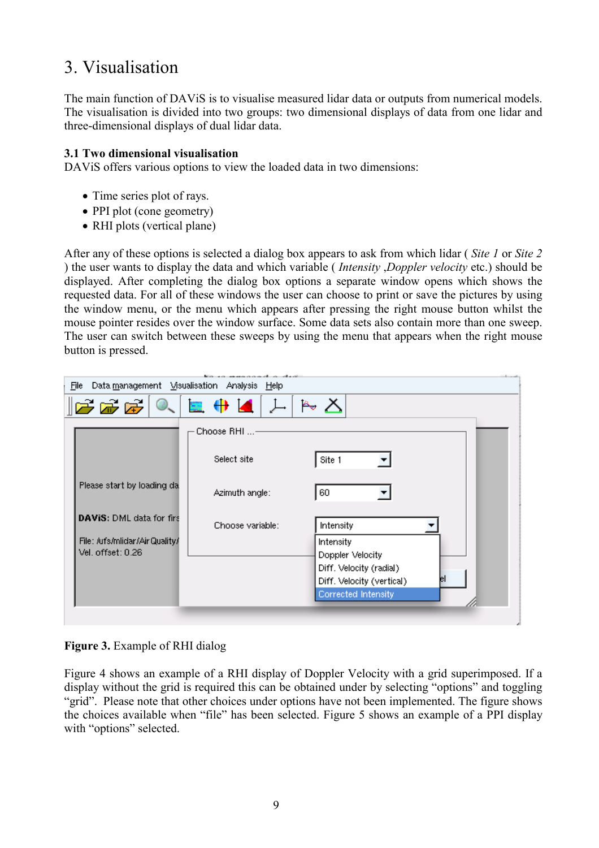## 3. Visualisation

The main function of DAViS is to visualise measured lidar data or outputs from numerical models. The visualisation is divided into two groups: two dimensional displays of data from one lidar and three-dimensional displays of dual lidar data.

#### **3.1 Two dimensional visualisation**

DAViS offers various options to view the loaded data in two dimensions:

- Time series plot of rays.
- PPI plot (cone geometry)
- RHI plots (vertical plane)

After any of these options is selected a dialog box appears to ask from which lidar ( *Site 1* or *Site 2* ) the user wants to display the data and which variable ( *Intensity* ,*Doppler velocity* etc.) should be displayed. After completing the dialog box options a separate window opens which shows the requested data. For all of these windows the user can choose to print or save the pictures by using the window menu, or the menu which appears after pressing the right mouse button whilst the mouse pointer resides over the window surface. Some data sets also contain more than one sweep. The user can switch between these sweeps by using the menu that appears when the right mouse button is pressed.

|                                                     | فالمستقصر والمستحث والمستحدث والمستحدث والمستحدث |                           |  |
|-----------------------------------------------------|--------------------------------------------------|---------------------------|--|
| File                                                | Data management Misualisation Analysis Help      |                           |  |
| $\mathbb{E}$ $\mathbb{E}$ $\mathbb{E}$ $\mathbb{E}$ | <b>BO ← 4</b> 上                                  | $\mathbb{A} \times$       |  |
|                                                     | Choose RHI -                                     |                           |  |
|                                                     | Select site                                      | Site 1                    |  |
| Please start by loading da.                         | Azimuth angle:                                   | 60                        |  |
| <b>DAVIS:</b> DML data for firs                     | Choose variable:                                 | Intensity                 |  |
| File: /ufs/mlidar/AirQuality/                       |                                                  | Intensity                 |  |
| Vel. offset: 0.26                                   |                                                  | Doppler Velocity          |  |
|                                                     |                                                  |                           |  |
|                                                     |                                                  | Diff. Velocity (radial)   |  |
|                                                     |                                                  | Diff. Velocity (vertical) |  |
|                                                     |                                                  | Corrected Intensity       |  |
|                                                     |                                                  |                           |  |
|                                                     |                                                  |                           |  |

### **Figure 3.** Example of RHI dialog

Figure 4 shows an example of a RHI display of Doppler Velocity with a grid superimposed. If a display without the grid is required this can be obtained under by selecting "options" and toggling "grid". Please note that other choices under options have not been implemented. The figure shows the choices available when "file" has been selected. Figure 5 shows an example of a PPI display with "options" selected.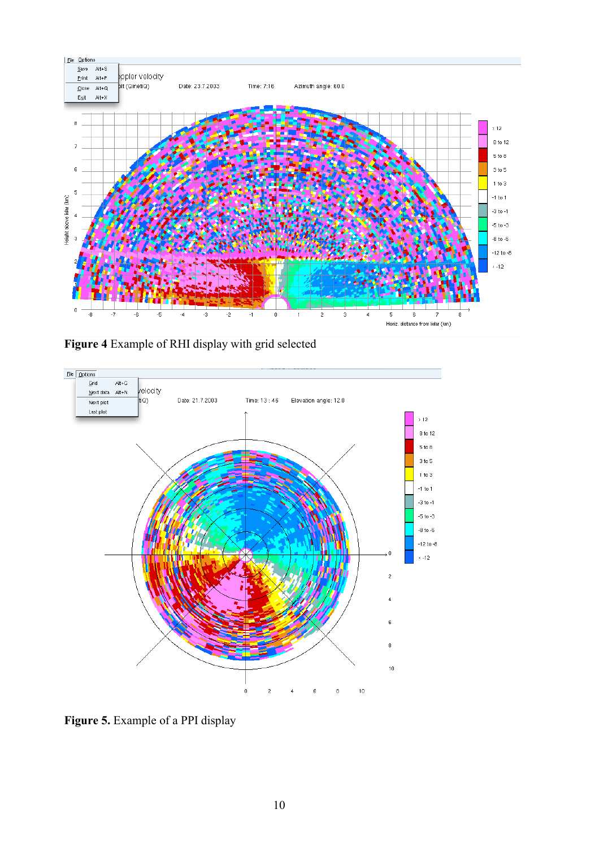

**Figure 4** Example of RHI display with grid selected



**Figure 5.** Example of a PPI display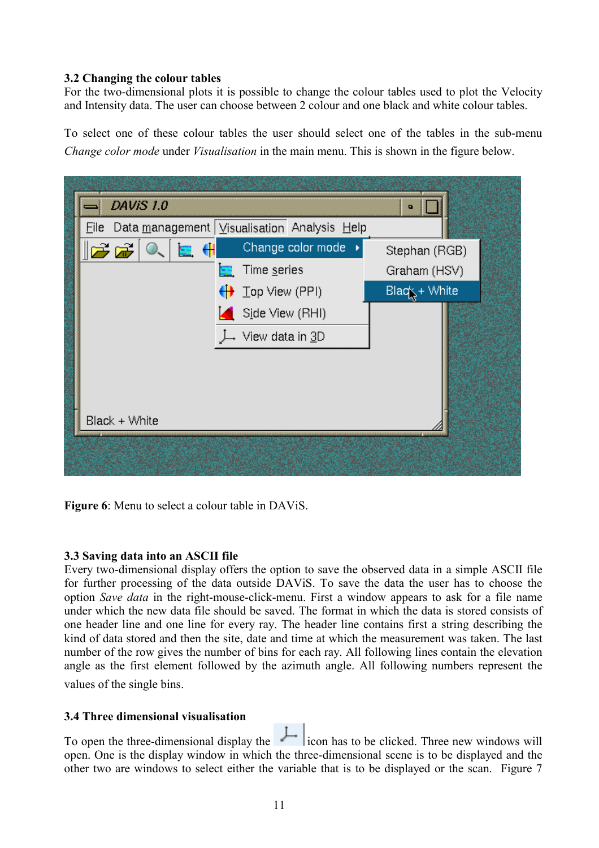#### **3.2 Changing the colour tables**

For the two-dimensional plots it is possible to change the colour tables used to plot the Velocity and Intensity data. The user can choose between 2 colour and one black and white colour tables.

To select one of these colour tables the user should select one of the tables in the sub-menu *Change color mode* under *Visualisation* in the main menu. This is shown in the figure below.



**Figure 6**: Menu to select a colour table in DAViS.

#### **3.3 Saving data into an ASCII file**

Every two-dimensional display offers the option to save the observed data in a simple ASCII file for further processing of the data outside DAViS. To save the data the user has to choose the option *Save data* in the right-mouse-click-menu. First a window appears to ask for a file name under which the new data file should be saved. The format in which the data is stored consists of one header line and one line for every ray. The header line contains first a string describing the kind of data stored and then the site, date and time at which the measurement was taken. The last number of the row gives the number of bins for each ray. All following lines contain the elevation angle as the first element followed by the azimuth angle. All following numbers represent the values of the single bins.

#### **3.4 Three dimensional visualisation**

To open the three-dimensional display the  $\|L\|$  icon has to be clicked. Three new windows will open. One is the display window in which the three-dimensional scene is to be displayed and the other two are windows to select either the variable that is to be displayed or the scan. Figure 7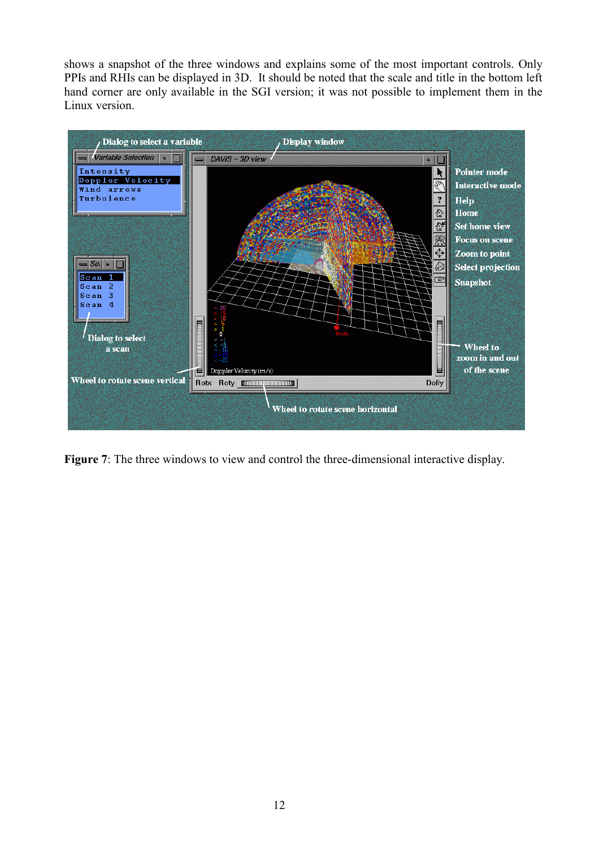shows a snapshot of the three windows and explains some of the most important controls. Only PPIs and RHIs can be displayed in 3D. It should be noted that the scale and title in the bottom left hand corner are only available in the SGI version; it was not possible to implement them in the Linux version.



**Figure 7**: The three windows to view and control the three-dimensional interactive display.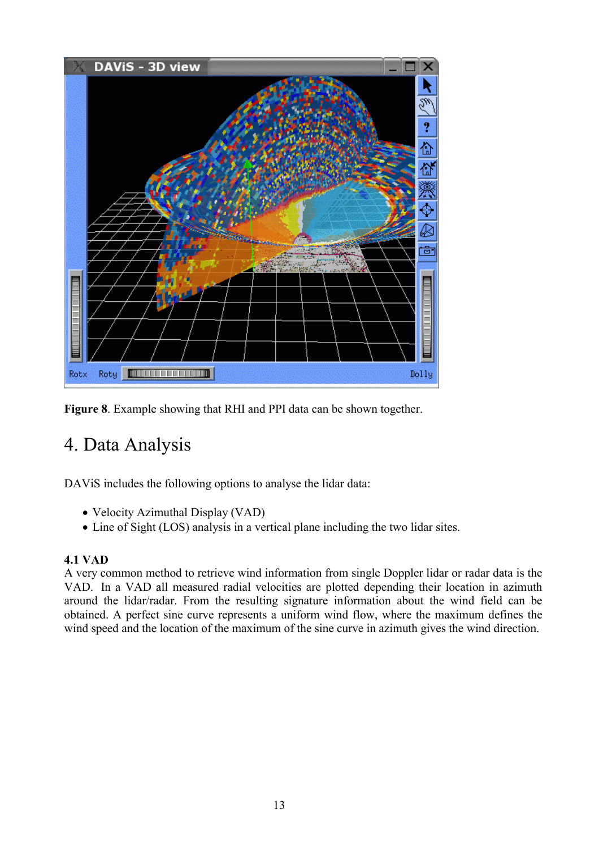

**Figure 8**. Example showing that RHI and PPI data can be shown together.

# 4. Data Analysis

DAViS includes the following options to analyse the lidar data:

- Velocity Azimuthal Display (VAD)
- Line of Sight (LOS) analysis in a vertical plane including the two lidar sites.

### **4.1 VAD**

A very common method to retrieve wind information from single Doppler lidar or radar data is the VAD. In a VAD all measured radial velocities are plotted depending their location in azimuth around the lidar/radar. From the resulting signature information about the wind field can be obtained. A perfect sine curve represents a uniform wind flow, where the maximum defines the wind speed and the location of the maximum of the sine curve in azimuth gives the wind direction.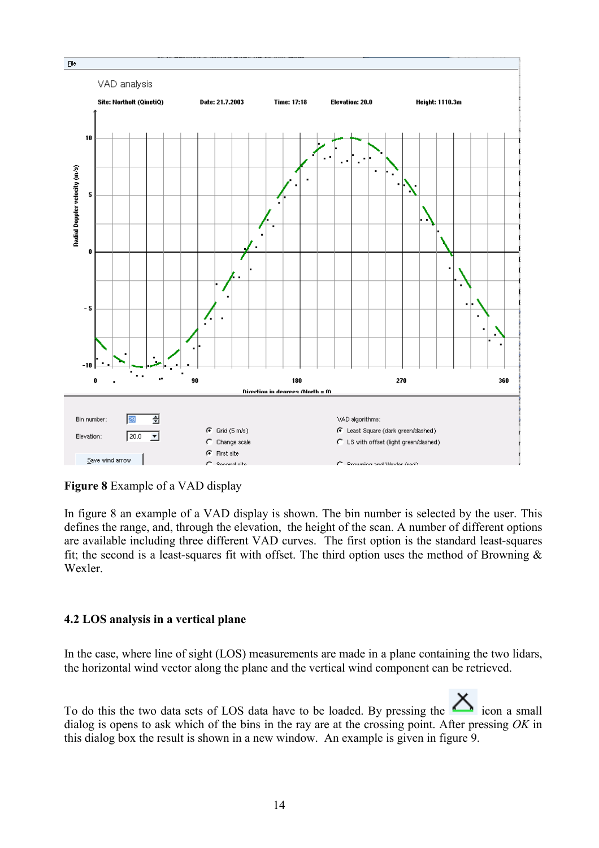

**Figure 8** Example of a VAD display

In figure 8 an example of a VAD display is shown. The bin number is selected by the user. This defines the range, and, through the elevation, the height of the scan. A number of different options are available including three different VAD curves. The first option is the standard least-squares fit; the second is a least-squares fit with offset. The third option uses the method of Browning  $\&$ Wexler.

#### **4.2 LOS analysis in a vertical plane**

In the case, where line of sight (LOS) measurements are made in a plane containing the two lidars, the horizontal wind vector along the plane and the vertical wind component can be retrieved.

To do this the two data sets of LOS data have to be loaded. By pressing the icon a small dialog is opens to ask which of the bins in the ray are at the crossing point. After pressing *OK* in this dialog box the result is shown in a new window. An example is given in figure 9.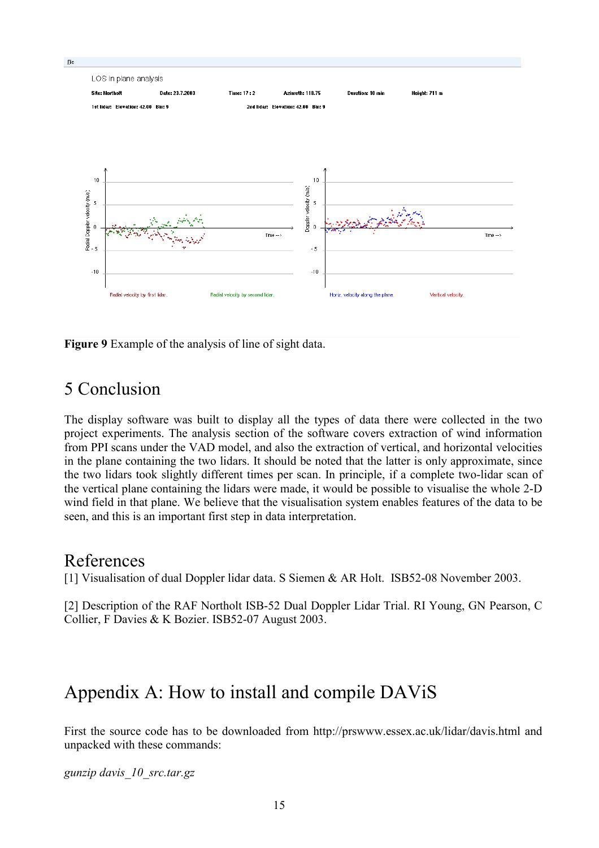

**Figure 9** Example of the analysis of line of sight data.

## 5 Conclusion

The display software was built to display all the types of data there were collected in the two project experiments. The analysis section of the software covers extraction of wind information from PPI scans under the VAD model, and also the extraction of vertical, and horizontal velocities in the plane containing the two lidars. It should be noted that the latter is only approximate, since the two lidars took slightly different times per scan. In principle, if a complete two-lidar scan of the vertical plane containing the lidars were made, it would be possible to visualise the whole 2-D wind field in that plane. We believe that the visualisation system enables features of the data to be seen, and this is an important first step in data interpretation.

## References

[1] Visualisation of dual Doppler lidar data. S Siemen & AR Holt. ISB52-08 November 2003.

[2] Description of the RAF Northolt ISB-52 Dual Doppler Lidar Trial. RI Young, GN Pearson, C Collier, F Davies & K Bozier. ISB52-07 August 2003.

# Appendix A: How to install and compile DAViS

First the source code has to be downloaded from http://prswww.essex.ac.uk/lidar/davis.html and unpacked with these commands:

*gunzip davis\_10\_src.tar.gz*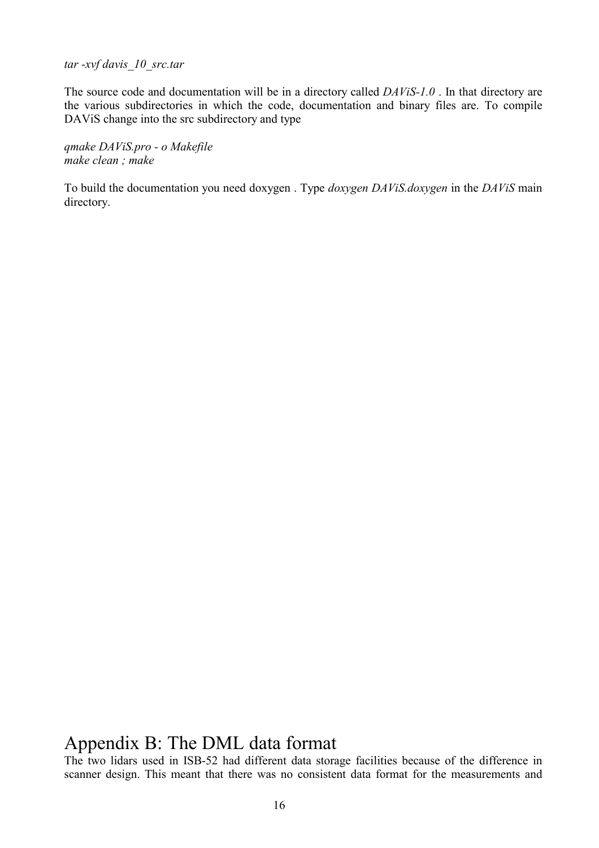*tar -xvf davis\_10\_src.tar* 

The source code and documentation will be in a directory called *DAViS-1.0* . In that directory are the various subdirectories in which the code, documentation and binary files are. To compile DAViS change into the src subdirectory and type

*qmake DAViS.pro - o Makefile make clean ; make* 

To build the documentation you need doxygen . Type *doxygen DAViS.doxygen* in the *DAViS* main directory.

## Appendix B: The DML data format

The two lidars used in ISB-52 had different data storage facilities because of the difference in scanner design. This meant that there was no consistent data format for the measurements and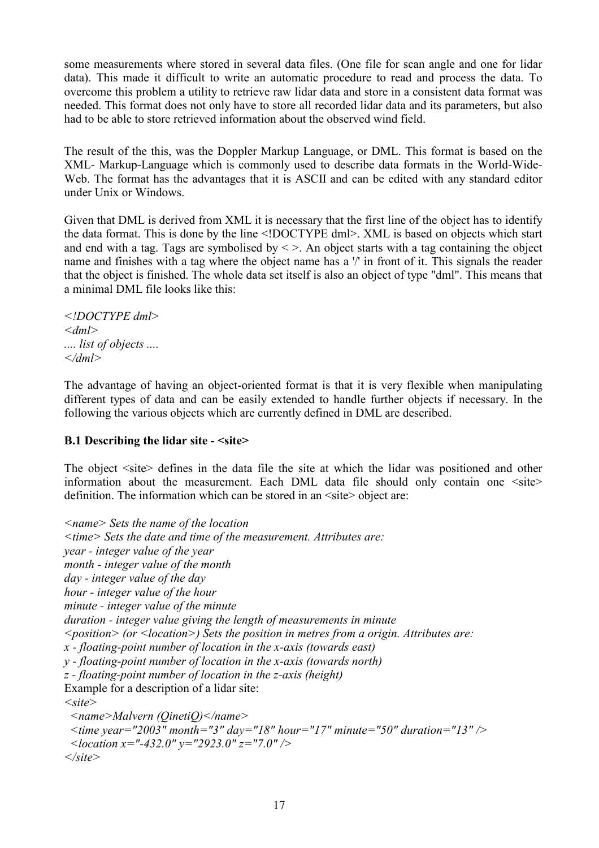some measurements where stored in several data files. (One file for scan angle and one for lidar data). This made it difficult to write an automatic procedure to read and process the data. To overcome this problem a utility to retrieve raw lidar data and store in a consistent data format was needed. This format does not only have to store all recorded lidar data and its parameters, but also had to be able to store retrieved information about the observed wind field.

The result of the this, was the Doppler Markup Language, or DML. This format is based on the XML- Markup-Language which is commonly used to describe data formats in the World-Wide-Web. The format has the advantages that it is ASCII and can be edited with any standard editor under Unix or Windows.

Given that DML is derived from XML it is necessary that the first line of the object has to identify the data format. This is done by the line <!DOCTYPE dml>. XML is based on objects which start and end with a tag. Tags are symbolised by  $\leq$  >. An object starts with a tag containing the object name and finishes with a tag where the object name has a '/' in front of it. This signals the reader that the object is finished. The whole data set itself is also an object of type "dml". This means that a minimal DML file looks like this:

*<!DOCTYPE dml> <dml> .... list of objects .... </dml>* 

The advantage of having an object-oriented format is that it is very flexible when manipulating different types of data and can be easily extended to handle further objects if necessary. In the following the various objects which are currently defined in DML are described.

#### **B.1 Describing the lidar site - <site>**

The object  $\leq$ site defines in the data file the site at which the lidar was positioned and other information about the measurement. Each DML data file should only contain one <site> definition. The information which can be stored in an  $\leq$ site $\geq$  object are:

```
<name> Sets the name of the location 
<time> Sets the date and time of the measurement. Attributes are: 
year - integer value of the year 
month - integer value of the month 
day - integer value of the day 
hour - integer value of the hour 
minute - integer value of the minute 
duration - integer value giving the length of measurements in minute 
<position> (or <location>) Sets the position in metres from a origin. Attributes are: 
x - floating-point number of location in the x-axis (towards east) 
y - floating-point number of location in the x-axis (towards north) 
z - floating-point number of location in the z-axis (height) 
Example for a description of a lidar site: 
<site> 
  <name>Malvern (QinetiQ)</name> 
  <time year="2003" month="3" day="18" hour="17" minute="50" duration="13" /> 
  <location x="-432.0" y="2923.0" z="7.0" />
```
*</site>*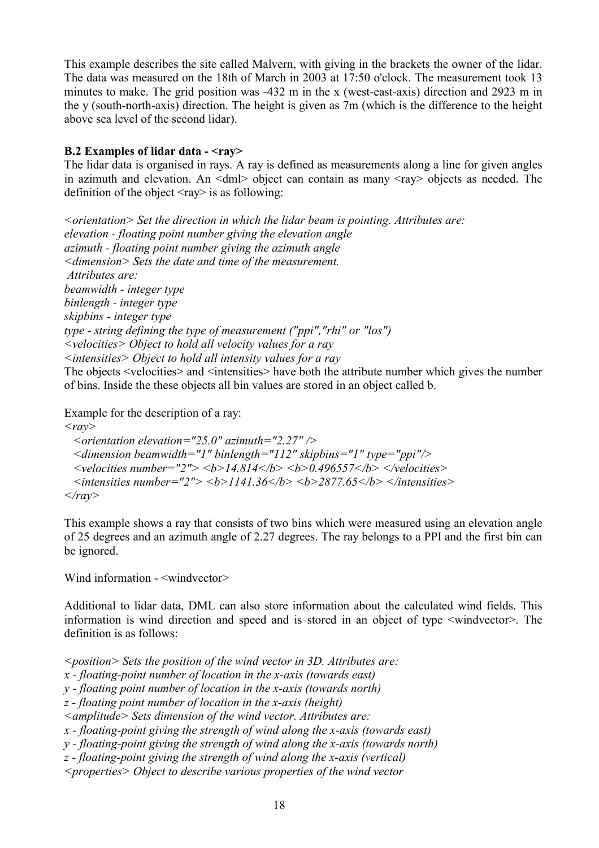This example describes the site called Malvern, with giving in the brackets the owner of the lidar. The data was measured on the 18th of March in 2003 at 17:50 o'clock. The measurement took 13 minutes to make. The grid position was -432 m in the x (west-east-axis) direction and 2923 m in the y (south-north-axis) direction. The height is given as 7m (which is the difference to the height above sea level of the second lidar).

#### **B.2 Examples of lidar data - <ray>**

The lidar data is organised in rays. A ray is defined as measurements along a line for given angles in azimuth and elevation. An  $\langle dm \rangle$  object can contain as many  $\langle ray \rangle$  objects as needed. The definition of the object  $\langle ray \rangle$  is as following:

*<orientation> Set the direction in which the lidar beam is pointing. Attributes are: elevation - floating point number giving the elevation angle azimuth - floating point number giving the azimuth angle <dimension> Sets the date and time of the measurement. Attributes are: beamwidth - integer type binlength - integer type skipbins - integer type type - string defining the type of measurement ("ppi","rhi" or "los") <velocities> Object to hold all velocity values for a ray <intensities> Object to hold all intensity values for a ray*  The objects <velocities> and <intensities> have both the attribute number which gives the number of bins. Inside the these objects all bin values are stored in an object called b.

Example for the description of a ray:

 $\langle \textit{rav} \rangle$ 

 *<orientation elevation="25.0" azimuth="2.27" /> <dimension beamwidth="1" binlength="112" skipbins="1" type="ppi"/>*   $\le$ velocities number="2">  $\le$ b>14.814 $\le$ b>  $\le$ b>0.496557 $\le$ /b>  $\le$ /velocities>  $\leq$  *intensities number="2">*  $\leq$ *b>1141.36* $\leq$ *b>*  $\leq$ *b>2877.65* $\leq$ *b>*  $\leq$ */intensities> </ray>* 

This example shows a ray that consists of two bins which were measured using an elevation angle of 25 degrees and an azimuth angle of 2.27 degrees. The ray belongs to a PPI and the first bin can be ignored.

Wind information -  $\leq$ windvector>

Additional to lidar data, DML can also store information about the calculated wind fields. This information is wind direction and speed and is stored in an object of type <windvector>. The definition is as follows:

*<position> Sets the position of the wind vector in 3D. Attributes are:* 

*x - floating-point number of location in the x-axis (towards east)* 

*y - floating point number of location in the x-axis (towards north)* 

*z - floating point number of location in the x-axis (height)* 

*<amplitude> Sets dimension of the wind vector. Attributes are:* 

*x - floating-point giving the strength of wind along the x-axis (towards east)* 

*y - floating-point giving the strength of wind along the x-axis (towards north)* 

*z - floating-point giving the strength of wind along the x-axis (vertical)* 

*<properties> Object to describe various properties of the wind vector*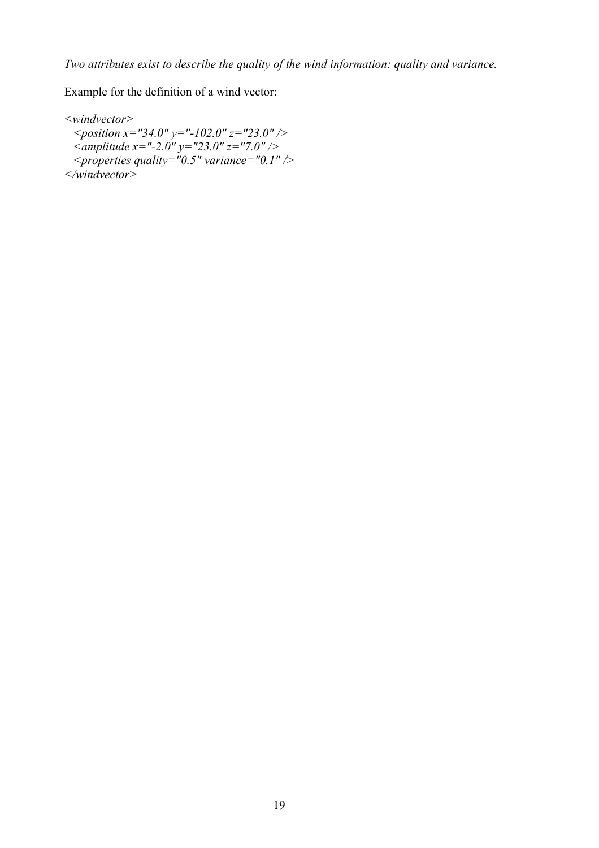Example for the definition of a wind vector:

*<windvector> <position x="34.0" y="-102.0" z="23.0" /> <amplitude x="-2.0" y="23.0" z="7.0" /> <properties quality="0.5" variance="0.1" /> </windvector>*